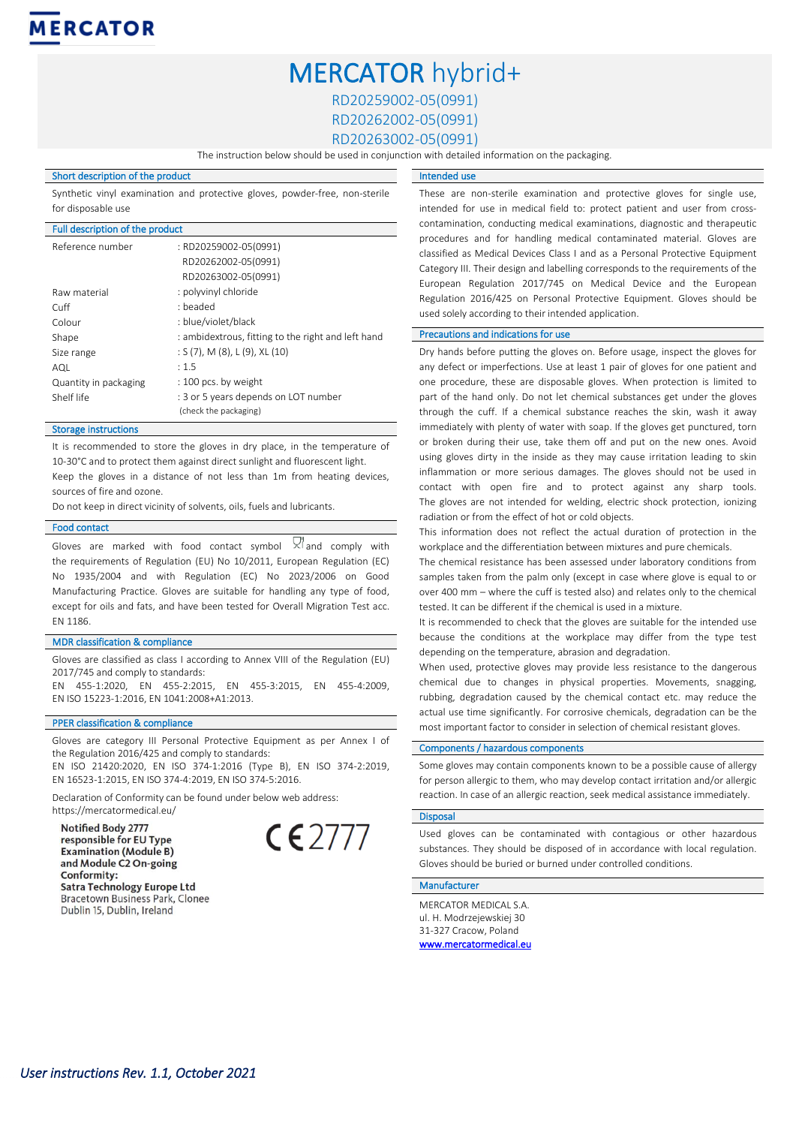# MERCATOR hybrid+

RD20259002-05(0991)

RD20262002-05(0991)

RD20263002-05(0991)

Intended use

The instruction below should be used in conjunction with detailed information on the packaging.

## Short description of the product

Synthetic vinyl examination and protective gloves, powder-free, non-sterile for disposable use

## Full description of the product

| Reference number      | : RD20259002-05(0991)<br>RD20262002-05(0991)<br>RD20263002-05(0991) |
|-----------------------|---------------------------------------------------------------------|
| Raw material          | : polyvinyl chloride                                                |
| Cuff                  | : beaded                                                            |
| Colour                | : blue/violet/black                                                 |
| Shape                 | : ambidextrous, fitting to the right and left hand                  |
| Size range            | : $S(7)$ , M $(8)$ , L $(9)$ , XL $(10)$                            |
| AQL                   | : 1.5                                                               |
| Quantity in packaging | : 100 pcs. by weight                                                |
| Shelf life            | : 3 or 5 years depends on LOT number<br>(check the packaging)       |

# Storage instructions

It is recommended to store the gloves in dry place, in the temperature of 10-30°C and to protect them against direct sunlight and fluorescent light. Keep the gloves in a distance of not less than 1m from heating devices, sources of fire and ozone.

Do not keep in direct vicinity of solvents, oils, fuels and lubricants.

#### Food contact

Gloves are marked with food contact symbol  $\forall$  and comply with the requirements of Regulation (EU) No 10/2011, European Regulation (EC) No 1935/2004 and with Regulation (EC) No 2023/2006 on Good Manufacturing Practice. Gloves are suitable for handling any type of food, except for oils and fats, and have been tested for Overall Migration Test acc. EN 1186.

# MDR classification & compliance

Gloves are classified as class I according to Annex VIII of the Regulation (EU) 2017/745 and comply to standards:

EN 455-1:2020, EN 455-2:2015, EN 455-3:2015, EN 455-4:2009, EN ISO 15223-1:2016, EN 1041:2008+A1:2013.

#### PPER classification & compliance

Gloves are category III Personal Protective Equipment as per Annex I of the Regulation 2016/425 and comply to standards: EN ISO 21420:2020, EN ISO 374-1:2016 (Type B), EN ISO 374-2:2019,

EN 16523-1:2015, EN ISO 374-4:2019, EN ISO 374-5:2016.

Declaration of Conformity can be found under below web address: https://mercatormedical.eu/

Notified Body 2777 responsible for EU Type **Examination (Module B)** and Module C2 On-going Conformity: Satra Technology Europe Ltd Bracetown Business Park, Clonee Dublin 15, Dublin, Ireland

 $C$   $\epsilon$  2777

These are non-sterile examination and protective gloves for single use, intended for use in medical field to: protect patient and user from crosscontamination, conducting medical examinations, diagnostic and therapeutic procedures and for handling medical contaminated material. Gloves are classified as Medical Devices Class I and as a Personal Protective Equipment Category III. Their design and labelling corresponds to the requirements of the European Regulation 2017/745 on Medical Device and the European Regulation 2016/425 on Personal Protective Equipment. Gloves should be used solely according to their intended application.

## Precautions and indications for use

Dry hands before putting the gloves on. Before usage, inspect the gloves for any defect or imperfections. Use at least 1 pair of gloves for one patient and one procedure, these are disposable gloves. When protection is limited to part of the hand only. Do not let chemical substances get under the gloves through the cuff. If a chemical substance reaches the skin, wash it away immediately with plenty of water with soap. If the gloves get punctured, torn or broken during their use, take them off and put on the new ones. Avoid using gloves dirty in the inside as they may cause irritation leading to skin inflammation or more serious damages. The gloves should not be used in contact with open fire and to protect against any sharp tools. The gloves are not intended for welding, electric shock protection, ionizing radiation or from the effect of hot or cold objects.

This information does not reflect the actual duration of protection in the workplace and the differentiation between mixtures and pure chemicals.

The chemical resistance has been assessed under laboratory conditions from samples taken from the palm only (except in case where glove is equal to or over 400 mm – where the cuff is tested also) and relates only to the chemical tested. It can be different if the chemical is used in a mixture.

It is recommended to check that the gloves are suitable for the intended use because the conditions at the workplace may differ from the type test depending on the temperature, abrasion and degradation.

When used, protective gloves may provide less resistance to the dangerous chemical due to changes in physical properties. Movements, snagging, rubbing, degradation caused by the chemical contact etc. may reduce the actual use time significantly. For corrosive chemicals, degradation can be the most important factor to consider in selection of chemical resistant gloves.

### Components / hazardous components

Some gloves may contain components known to be a possible cause of allergy for person allergic to them, who may develop contact irritation and/or allergic reaction. In case of an allergic reaction, seek medical assistance immediately.

#### **Disposal**

Used gloves can be contaminated with contagious or other hazardous substances. They should be disposed of in accordance with local regulation. Gloves should be buried or burned under controlled conditions.

# Manufacturer

MERCATOR MEDICAL S.A. ul. H. Modrzejewskiej 30 31-327 Cracow, Poland [www.mercatormedical.eu](http://www.mercatormedical.eu/)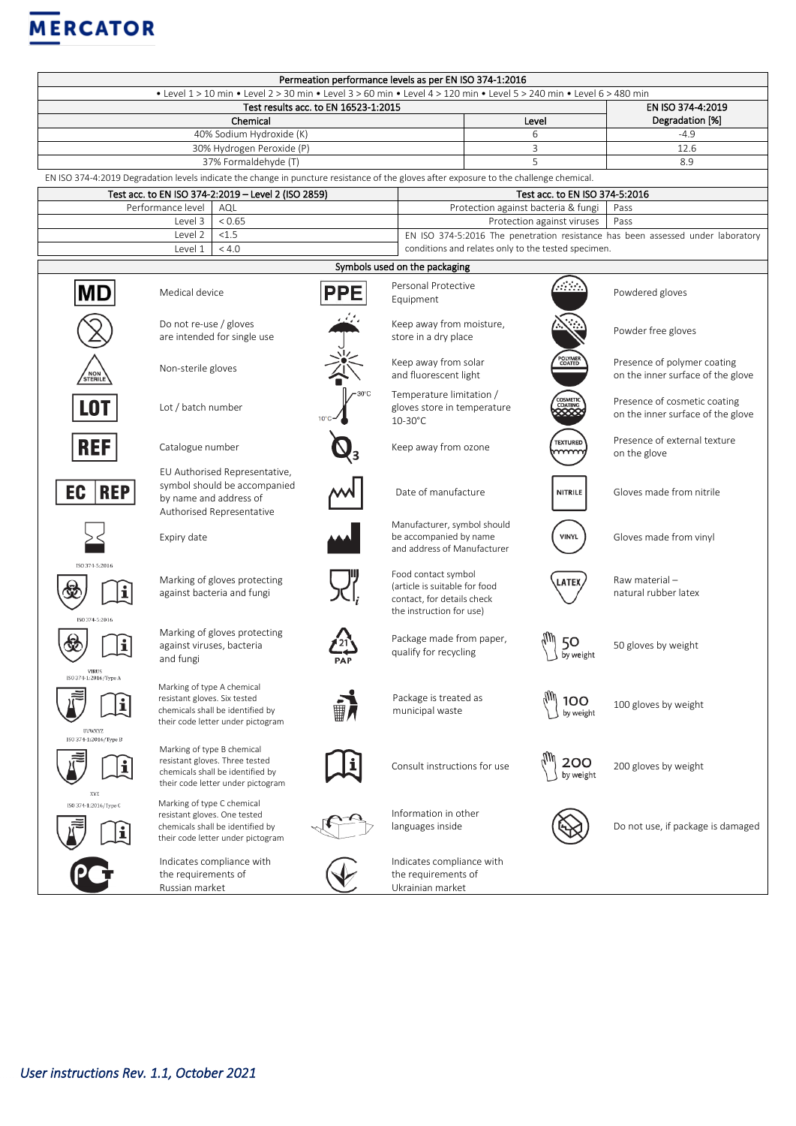